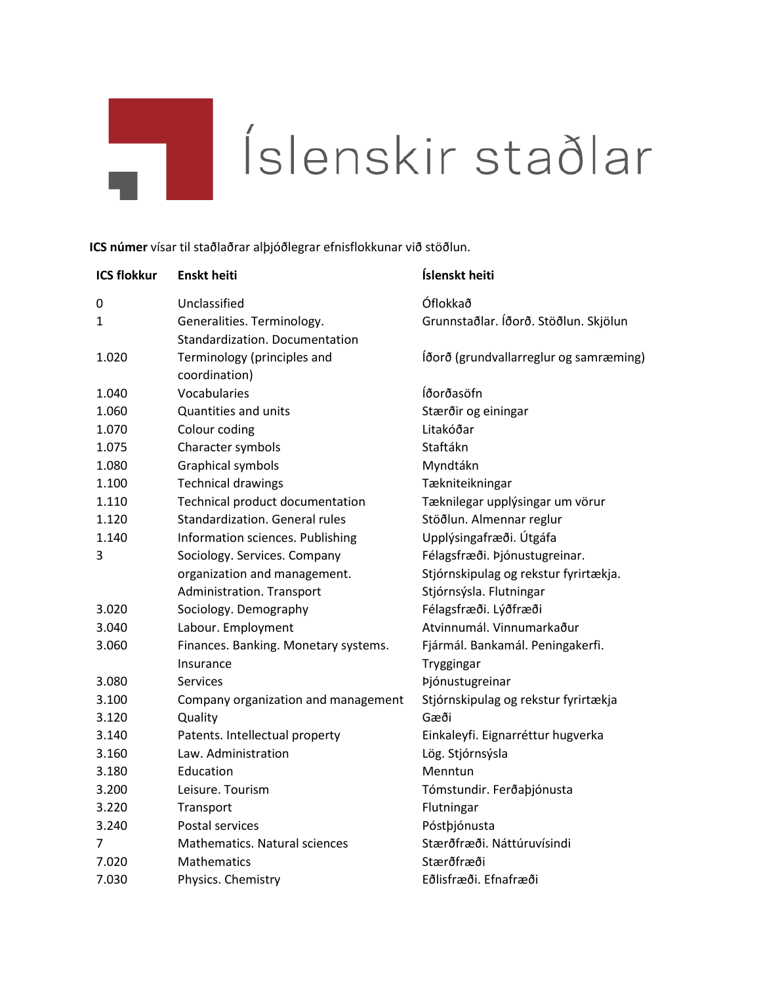## ш.

## Íslenskir staðlar

**ICS númer** vísar til staðlaðrar alþjóðlegrar efnisflokkunar við stöðlun.

| <b>ICS flokkur</b> | <b>Enskt heiti</b>                   | Íslenskt heiti                         |
|--------------------|--------------------------------------|----------------------------------------|
| 0                  | Unclassified                         | Óflokkað                               |
| 1                  | Generalities. Terminology.           | Grunnstaðlar. Íðorð. Stöðlun. Skjölun  |
|                    | Standardization. Documentation       |                                        |
| 1.020              | Terminology (principles and          | lðorð (grundvallarreglur og samræming) |
|                    | coordination)                        |                                        |
| 1.040              | Vocabularies                         | Íðorðasöfn                             |
| 1.060              | Quantities and units                 | Stærðir og einingar                    |
| 1.070              | Colour coding                        | Litakóðar                              |
| 1.075              | Character symbols                    | Staftákn                               |
| 1.080              | Graphical symbols                    | Myndtákn                               |
| 1.100              | <b>Technical drawings</b>            | Tækniteikningar                        |
| 1.110              | Technical product documentation      | Tæknilegar upplýsingar um vörur        |
| 1.120              | Standardization. General rules       | Stöðlun. Almennar reglur               |
| 1.140              | Information sciences. Publishing     | Upplýsingafræði. Útgáfa                |
| 3                  | Sociology. Services. Company         | Félagsfræði. Þjónustugreinar.          |
|                    | organization and management.         | Stjórnskipulag og rekstur fyrirtækja.  |
|                    | Administration. Transport            | Stjórnsýsla. Flutningar                |
| 3.020              | Sociology. Demography                | Félagsfræði. Lýðfræði                  |
| 3.040              | Labour. Employment                   | Atvinnumál. Vinnumarkaður              |
| 3.060              | Finances. Banking. Monetary systems. | Fjármál. Bankamál. Peningakerfi.       |
|                    | Insurance                            | Tryggingar                             |
| 3.080              | Services                             | Þjónustugreinar                        |
| 3.100              | Company organization and management  | Stjórnskipulag og rekstur fyrirtækja   |
| 3.120              | Quality                              | Gæði                                   |
| 3.140              | Patents. Intellectual property       | Einkaleyfi. Eignarréttur hugverka      |
| 3.160              | Law. Administration                  | Lög. Stjórnsýsla                       |
| 3.180              | Education                            | Menntun                                |
| 3.200              | Leisure. Tourism                     | Tómstundir. Ferðaþjónusta              |
| 3.220              | Transport                            | Flutningar                             |
| 3.240              | Postal services                      | Póstþjónusta                           |
| 7                  | Mathematics. Natural sciences        | Stærðfræði. Náttúruvísindi             |
| 7.020              | <b>Mathematics</b>                   | Stærðfræði                             |
| 7.030              | Physics. Chemistry                   | Eðlisfræði. Efnafræði                  |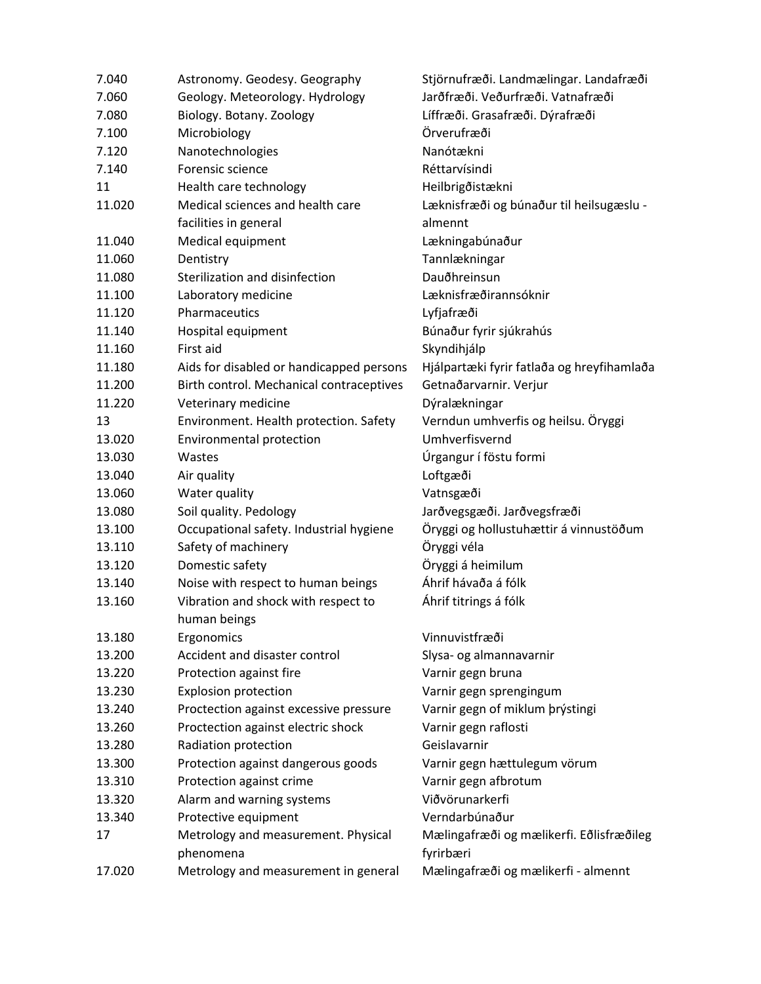| 7.040  | Astronomy. Geodesy. Geography                       | Stjörnufræði. Landmælingar. Landafræði     |
|--------|-----------------------------------------------------|--------------------------------------------|
| 7.060  | Geology. Meteorology. Hydrology                     | Jarðfræði. Veðurfræði. Vatnafræði          |
| 7.080  | Biology. Botany. Zoology                            | Líffræði. Grasafræði. Dýrafræði            |
| 7.100  | Microbiology                                        | Örverufræði                                |
| 7.120  | Nanotechnologies                                    | Nanótækni                                  |
| 7.140  | Forensic science                                    | Réttarvísindi                              |
| 11     | Health care technology                              | Heilbrigðistækni                           |
| 11.020 | Medical sciences and health care                    | Læknisfræði og búnaður til heilsugæslu -   |
|        | facilities in general                               | almennt                                    |
| 11.040 | Medical equipment                                   | Lækningabúnaður                            |
| 11.060 | Dentistry                                           | Tannlækningar                              |
| 11.080 | Sterilization and disinfection                      | Dauðhreinsun                               |
| 11.100 | Laboratory medicine                                 | Læknisfræðirannsóknir                      |
| 11.120 | Pharmaceutics                                       | Lyfjafræði                                 |
| 11.140 | Hospital equipment                                  | Búnaður fyrir sjúkrahús                    |
| 11.160 | First aid                                           | Skyndihjálp                                |
| 11.180 | Aids for disabled or handicapped persons            | Hjálpartæki fyrir fatlaða og hreyfihamlaða |
| 11.200 | Birth control. Mechanical contraceptives            | Getnaðarvarnir. Verjur                     |
| 11.220 | Veterinary medicine                                 | Dýralækningar                              |
| 13     | Environment. Health protection. Safety              | Verndun umhverfis og heilsu. Öryggi        |
| 13.020 | Environmental protection                            | Umhverfisvernd                             |
| 13.030 | Wastes                                              | Úrgangur í föstu formi                     |
| 13.040 | Air quality                                         | Loftgæði                                   |
| 13.060 | Water quality                                       | Vatnsgæði                                  |
| 13.080 | Soil quality. Pedology                              | Jarðvegsgæði. Jarðvegsfræði                |
| 13.100 | Occupational safety. Industrial hygiene             | Öryggi og hollustuhættir á vinnustöðum     |
| 13.110 | Safety of machinery                                 | Öryggi véla                                |
| 13.120 | Domestic safety                                     | Öryggi á heimilum                          |
| 13.140 | Noise with respect to human beings                  | Áhrif hávaða á fólk                        |
| 13.160 | Vibration and shock with respect to<br>human beings | Áhrif titrings á fólk                      |
| 13.180 | Ergonomics                                          | Vinnuvistfræði                             |
| 13.200 | Accident and disaster control                       | Slysa- og almannavarnir                    |
| 13.220 | Protection against fire                             | Varnir gegn bruna                          |
| 13.230 | <b>Explosion protection</b>                         | Varnir gegn sprengingum                    |
| 13.240 | Proctection against excessive pressure              | Varnir gegn of miklum þrýstingi            |
| 13.260 | Proctection against electric shock                  | Varnir gegn raflosti                       |
| 13.280 | Radiation protection                                | Geislavarnir                               |
| 13.300 | Protection against dangerous goods                  | Varnir gegn hættulegum vörum               |
| 13.310 | Protection against crime                            | Varnir gegn afbrotum                       |
| 13.320 | Alarm and warning systems                           | Viðvörunarkerfi                            |
| 13.340 | Protective equipment                                | Verndarbúnaður                             |
| 17     | Metrology and measurement. Physical                 | Mælingafræði og mælikerfi. Eðlisfræðileg   |
|        | phenomena                                           | fyrirbæri                                  |
| 17.020 | Metrology and measurement in general                | Mælingafræði og mælikerfi - almennt        |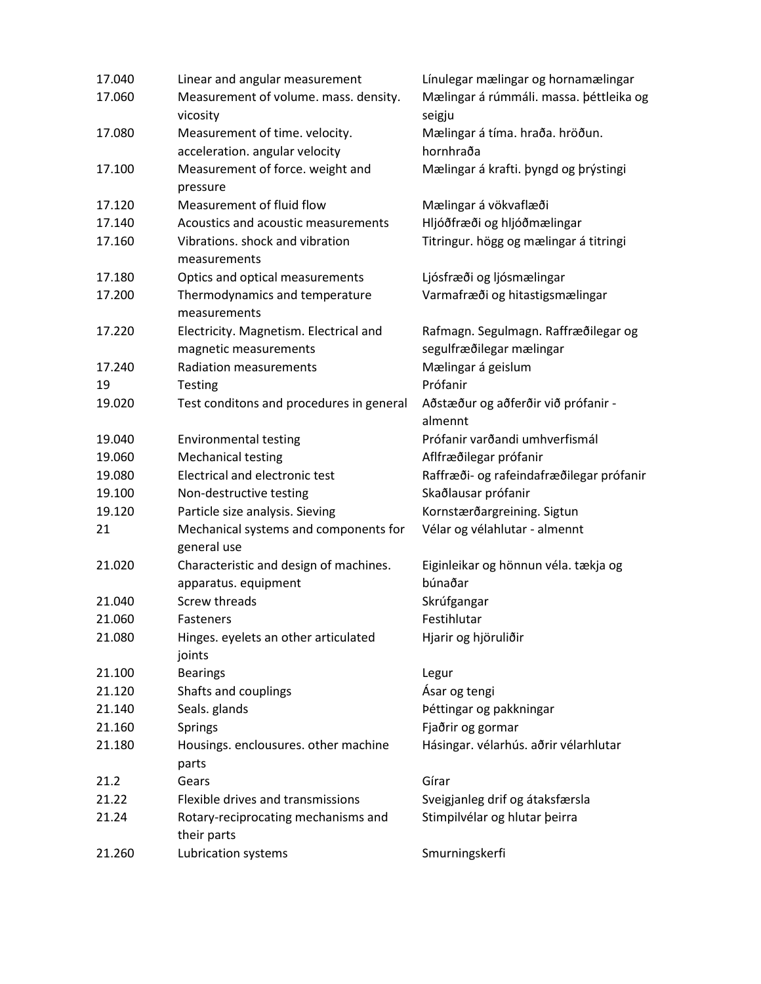| 17.040 | Linear and angular measurement                  | Línulegar mælingar og hornamælingar            |
|--------|-------------------------------------------------|------------------------------------------------|
| 17.060 | Measurement of volume. mass. density.           | Mælingar á rúmmáli. massa. þéttleika og        |
|        | vicosity                                        | seigju                                         |
| 17.080 | Measurement of time. velocity.                  | Mælingar á tíma. hraða. hröðun.                |
|        | acceleration. angular velocity                  | hornhraða                                      |
| 17.100 | Measurement of force. weight and                | Mælingar á krafti. þyngd og þrýstingi          |
|        | pressure                                        |                                                |
| 17.120 | Measurement of fluid flow                       | Mælingar á vökvaflæði                          |
| 17.140 | Acoustics and acoustic measurements             | Hljóðfræði og hljóðmælingar                    |
| 17.160 | Vibrations. shock and vibration<br>measurements | Titringur. högg og mælingar á titringi         |
| 17.180 | Optics and optical measurements                 | Ljósfræði og ljósmælingar                      |
| 17.200 | Thermodynamics and temperature                  | Varmafræði og hitastigsmælingar                |
|        | measurements                                    |                                                |
| 17.220 | Electricity. Magnetism. Electrical and          | Rafmagn. Segulmagn. Raffræðilegar og           |
|        | magnetic measurements                           | segulfræðilegar mælingar                       |
| 17.240 | <b>Radiation measurements</b>                   | Mælingar á geislum                             |
| 19     | <b>Testing</b>                                  | Prófanir                                       |
| 19.020 | Test conditons and procedures in general        | Aðstæður og aðferðir við prófanir -<br>almennt |
| 19.040 | <b>Environmental testing</b>                    | Prófanir varðandi umhverfismál                 |
| 19.060 | <b>Mechanical testing</b>                       | Aflfræðilegar prófanir                         |
| 19.080 | Electrical and electronic test                  | Raffræði- og rafeindafræðilegar prófanir       |
| 19.100 | Non-destructive testing                         | Skaðlausar prófanir                            |
| 19.120 | Particle size analysis. Sieving                 | Kornstærðargreining. Sigtun                    |
| 21     | Mechanical systems and components for           | Vélar og vélahlutar - almennt                  |
|        | general use                                     |                                                |
| 21.020 | Characteristic and design of machines.          | Eiginleikar og hönnun véla. tækja og           |
|        | apparatus. equipment                            | búnaðar                                        |
| 21.040 | <b>Screw threads</b>                            | Skrúfgangar                                    |
| 21.060 | Fasteners                                       | Festihlutar                                    |
| 21.080 | Hinges. eyelets an other articulated<br>joints  | Hjarir og hjöruliðir                           |
| 21.100 | <b>Bearings</b>                                 | Legur                                          |
| 21.120 | Shafts and couplings                            | Ásar og tengi                                  |
| 21.140 | Seals. glands                                   | Þéttingar og pakkningar                        |
| 21.160 | <b>Springs</b>                                  | Fjaðrir og gormar                              |
| 21.180 | Housings. enclousures. other machine            | Hásingar. vélarhús. aðrir vélarhlutar          |
|        | parts                                           |                                                |
| 21.2   | Gears                                           | Gírar                                          |
| 21.22  | Flexible drives and transmissions               | Sveigjanleg drif og átaksfærsla                |
| 21.24  | Rotary-reciprocating mechanisms and             | Stimpilvélar og hlutar þeirra                  |
|        | their parts                                     |                                                |
| 21.260 | Lubrication systems                             | Smurningskerfi                                 |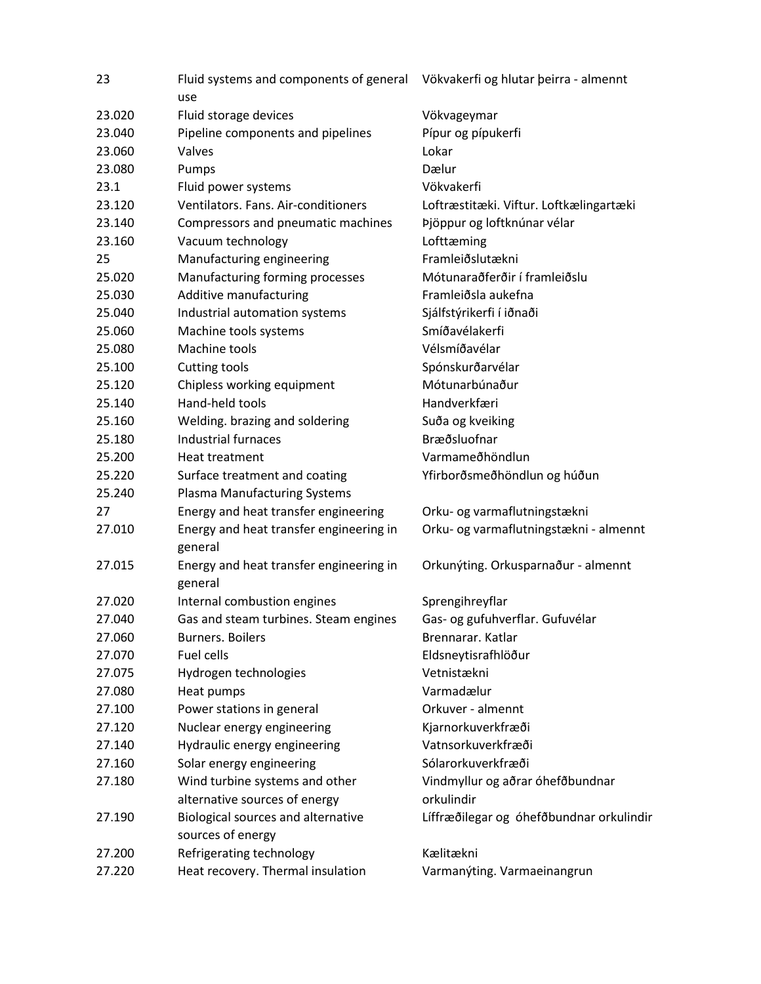| 23     | Fluid systems and components of general Vökvakerfi og hlutar þeirra - almennt<br>use |                                          |
|--------|--------------------------------------------------------------------------------------|------------------------------------------|
| 23.020 | Fluid storage devices                                                                | Vökvageymar                              |
| 23.040 | Pipeline components and pipelines                                                    | Pípur og pípukerfi                       |
| 23.060 | Valves                                                                               | Lokar                                    |
| 23.080 | Pumps                                                                                | Dælur                                    |
| 23.1   | Fluid power systems                                                                  | Vökvakerfi                               |
| 23.120 | Ventilators. Fans. Air-conditioners                                                  | Loftræstitæki. Viftur. Loftkælingartæki  |
| 23.140 | Compressors and pneumatic machines                                                   | Þjöppur og loftknúnar vélar              |
| 23.160 | Vacuum technology                                                                    | Lofttæming                               |
| 25     | Manufacturing engineering                                                            | Framleiðslutækni                         |
| 25.020 | Manufacturing forming processes                                                      | Mótunaraðferðir í framleiðslu            |
| 25.030 | Additive manufacturing                                                               | Framleiðsla aukefna                      |
| 25.040 | Industrial automation systems                                                        | Sjálfstýrikerfi í iðnaði                 |
| 25.060 | Machine tools systems                                                                | Smíðavélakerfi                           |
| 25.080 | Machine tools                                                                        | Vélsmíðavélar                            |
| 25.100 | Cutting tools                                                                        | Spónskurðarvélar                         |
| 25.120 | Chipless working equipment                                                           | Mótunarbúnaður                           |
| 25.140 | Hand-held tools                                                                      | Handverkfæri                             |
| 25.160 | Welding. brazing and soldering                                                       | Suða og kveiking                         |
| 25.180 | <b>Industrial furnaces</b>                                                           | Bræðsluofnar                             |
| 25.200 | Heat treatment                                                                       | Varmameðhöndlun                          |
| 25.220 | Surface treatment and coating                                                        | Yfirborðsmeðhöndlun og húðun             |
| 25.240 | <b>Plasma Manufacturing Systems</b>                                                  |                                          |
| 27     | Energy and heat transfer engineering                                                 | Orku- og varmaflutningstækni             |
| 27.010 | Energy and heat transfer engineering in<br>general                                   | Orku- og varmaflutningstækni - almennt   |
| 27.015 | Energy and heat transfer engineering in<br>general                                   | Orkunýting. Orkusparnaður - almennt      |
| 27.020 | Internal combustion engines                                                          | Sprengihreyflar                          |
| 27.040 | Gas and steam turbines. Steam engines                                                | Gas- og gufuhverflar. Gufuvélar          |
| 27.060 | <b>Burners. Boilers</b>                                                              | Brennarar. Katlar                        |
| 27.070 | Fuel cells                                                                           | Eldsneytisrafhlöður                      |
| 27.075 | Hydrogen technologies                                                                | Vetnistækni                              |
| 27.080 | Heat pumps                                                                           | Varmadælur                               |
| 27.100 | Power stations in general                                                            | Orkuver - almennt                        |
| 27.120 | Nuclear energy engineering                                                           | Kjarnorkuverkfræði                       |
| 27.140 | Hydraulic energy engineering                                                         | Vatnsorkuverkfræði                       |
| 27.160 | Solar energy engineering                                                             | Sólarorkuverkfræði                       |
| 27.180 | Wind turbine systems and other                                                       | Vindmyllur og aðrar óhefðbundnar         |
|        | alternative sources of energy                                                        | orkulindir                               |
| 27.190 | Biological sources and alternative<br>sources of energy                              | Líffræðilegar og óhefðbundnar orkulindir |
| 27.200 | Refrigerating technology                                                             | Kælitækni                                |
| 27.220 | Heat recovery. Thermal insulation                                                    | Varmanýting. Varmaeinangrun              |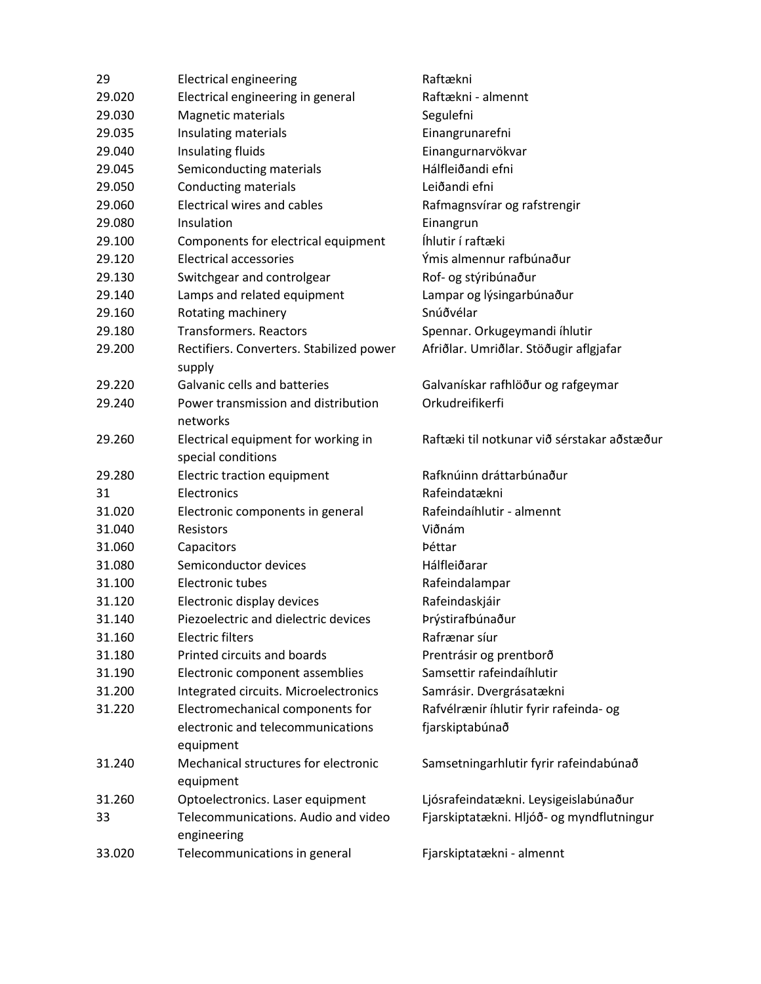| 29     | <b>Electrical engineering</b>                      | Raftækni                                    |
|--------|----------------------------------------------------|---------------------------------------------|
| 29.020 | Electrical engineering in general                  | Raftækni - almennt                          |
| 29.030 | Magnetic materials                                 | Segulefni                                   |
| 29.035 | Insulating materials                               | Einangrunarefni                             |
| 29.040 | Insulating fluids                                  | Einangurnarvökvar                           |
| 29.045 | Semiconducting materials                           | Hálfleiðandi efni                           |
| 29.050 | <b>Conducting materials</b>                        | Leiðandi efni                               |
| 29.060 | <b>Electrical wires and cables</b>                 | Rafmagnsvírar og rafstrengir                |
| 29.080 | Insulation                                         | Einangrun                                   |
| 29.100 | Components for electrical equipment                | Íhlutir í raftæki                           |
| 29.120 | <b>Electrical accessories</b>                      | Ýmis almennur rafbúnaður                    |
| 29.130 | Switchgear and controlgear                         | Rof- og stýribúnaður                        |
| 29.140 | Lamps and related equipment                        | Lampar og lýsingarbúnaður                   |
| 29.160 | Rotating machinery                                 | Snúðvélar                                   |
| 29.180 | <b>Transformers. Reactors</b>                      | Spennar. Orkugeymandi íhlutir               |
| 29.200 | Rectifiers. Converters. Stabilized power<br>supply | Afriðlar. Umriðlar. Stöðugir aflgjafar      |
| 29.220 | Galvanic cells and batteries                       | Galvanískar rafhlöður og rafgeymar          |
| 29.240 | Power transmission and distribution                | Orkudreifikerfi                             |
|        | networks                                           |                                             |
| 29.260 | Electrical equipment for working in                | Raftæki til notkunar við sérstakar aðstæður |
|        |                                                    |                                             |
|        | special conditions                                 |                                             |
| 29.280 | Electric traction equipment                        | Rafknúinn dráttarbúnaður                    |
| 31     | Electronics                                        | Rafeindatækni                               |
| 31.020 | Electronic components in general                   | Rafeindaíhlutir - almennt                   |
| 31.040 | Resistors                                          | Viðnám                                      |
| 31.060 | Capacitors                                         | Þéttar                                      |
| 31.080 | Semiconductor devices                              | Hálfleiðarar                                |
| 31.100 | Electronic tubes                                   | Rafeindalampar                              |
| 31.120 | Electronic display devices                         | Rafeindaskjáir                              |
| 31.140 | Piezoelectric and dielectric devices               | Þrýstirafbúnaður                            |
| 31.160 | <b>Electric filters</b>                            | Rafrænar síur                               |
| 31.180 | Printed circuits and boards                        | Prentrásir og prentborð                     |
| 31.190 | Electronic component assemblies                    | Samsettir rafeindaíhlutir                   |
| 31.200 | Integrated circuits. Microelectronics              | Samrásir. Dvergrásatækni                    |
| 31.220 | Electromechanical components for                   | Rafvélrænir íhlutir fyrir rafeinda- og      |
|        | electronic and telecommunications<br>equipment     | fjarskiptabúnað                             |
| 31.240 | Mechanical structures for electronic               | Samsetningarhlutir fyrir rafeindabúnað      |
|        | equipment                                          |                                             |
| 31.260 | Optoelectronics. Laser equipment                   | Ljósrafeindatækni. Leysigeislabúnaður       |
| 33     | Telecommunications. Audio and video<br>engineering | Fjarskiptatækni. Hljóð- og myndflutningur   |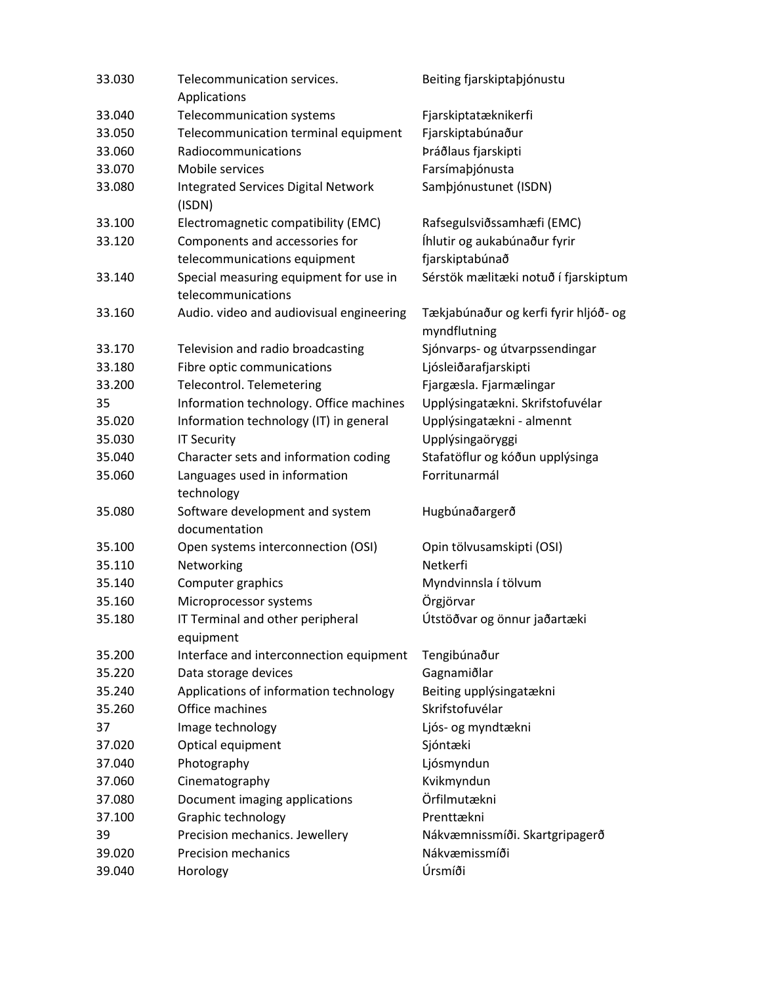| 33.030 | Telecommunication services.<br>Applications                  | Beiting fjarskiptaþjónustu                            |
|--------|--------------------------------------------------------------|-------------------------------------------------------|
| 33.040 | Telecommunication systems                                    | Fjarskiptatæknikerfi                                  |
| 33.050 | Telecommunication terminal equipment                         | Fjarskiptabúnaður                                     |
| 33.060 | Radiocommunications                                          | Þráðlaus fjarskipti                                   |
| 33.070 | Mobile services                                              | Farsímaþjónusta                                       |
| 33.080 | <b>Integrated Services Digital Network</b><br>(ISDN)         | Samþjónustunet (ISDN)                                 |
| 33.100 | Electromagnetic compatibility (EMC)                          | Rafsegulsviðssamhæfi (EMC)                            |
| 33.120 | Components and accessories for                               | Íhlutir og aukabúnaður fyrir                          |
|        | telecommunications equipment                                 | fjarskiptabúnað                                       |
| 33.140 | Special measuring equipment for use in<br>telecommunications | Sérstök mælitæki notuð í fjarskiptum                  |
| 33.160 | Audio. video and audiovisual engineering                     | Tækjabúnaður og kerfi fyrir hljóð- og<br>myndflutning |
| 33.170 | Television and radio broadcasting                            | Sjónvarps- og útvarpssendingar                        |
| 33.180 | Fibre optic communications                                   | Ljósleiðarafjarskipti                                 |
| 33.200 | Telecontrol. Telemetering                                    | Fjargæsla. Fjarmælingar                               |
| 35     | Information technology. Office machines                      | Upplýsingatækni. Skrifstofuvélar                      |
| 35.020 | Information technology (IT) in general                       | Upplýsingatækni - almennt                             |
| 35.030 | <b>IT Security</b>                                           | Upplýsingaöryggi                                      |
| 35.040 | Character sets and information coding                        | Stafatöflur og kóðun upplýsinga                       |
| 35.060 | Languages used in information<br>technology                  | Forritunarmál                                         |
| 35.080 | Software development and system<br>documentation             | Hugbúnaðargerð                                        |
| 35.100 | Open systems interconnection (OSI)                           | Opin tölvusamskipti (OSI)                             |
| 35.110 | Networking                                                   | Netkerfi                                              |
| 35.140 | Computer graphics                                            | Myndvinnsla í tölvum                                  |
| 35.160 | Microprocessor systems                                       | Örgjörvar                                             |
| 35.180 | IT Terminal and other peripheral<br>equipment                | Útstöðvar og önnur jaðartæki                          |
| 35.200 | Interface and interconnection equipment                      | Tengibúnaður                                          |
| 35.220 | Data storage devices                                         | Gagnamiðlar                                           |
| 35.240 | Applications of information technology                       | Beiting upplýsingatækni                               |
| 35.260 | Office machines                                              | Skrifstofuvélar                                       |
| 37     | Image technology                                             | Ljós- og myndtækni                                    |
| 37.020 | Optical equipment                                            | Sjóntæki                                              |
| 37.040 | Photography                                                  | Ljósmyndun                                            |
| 37.060 | Cinematography                                               | Kvikmyndun                                            |
| 37.080 | Document imaging applications                                | Örfilmutækni                                          |
| 37.100 | Graphic technology                                           | Prenttækni                                            |
| 39     | Precision mechanics. Jewellery                               | Nákvæmnissmíði. Skartgripagerð                        |
| 39.020 | <b>Precision mechanics</b>                                   | Nákvæmissmíði                                         |
| 39.040 | Horology                                                     | Úrsmíði                                               |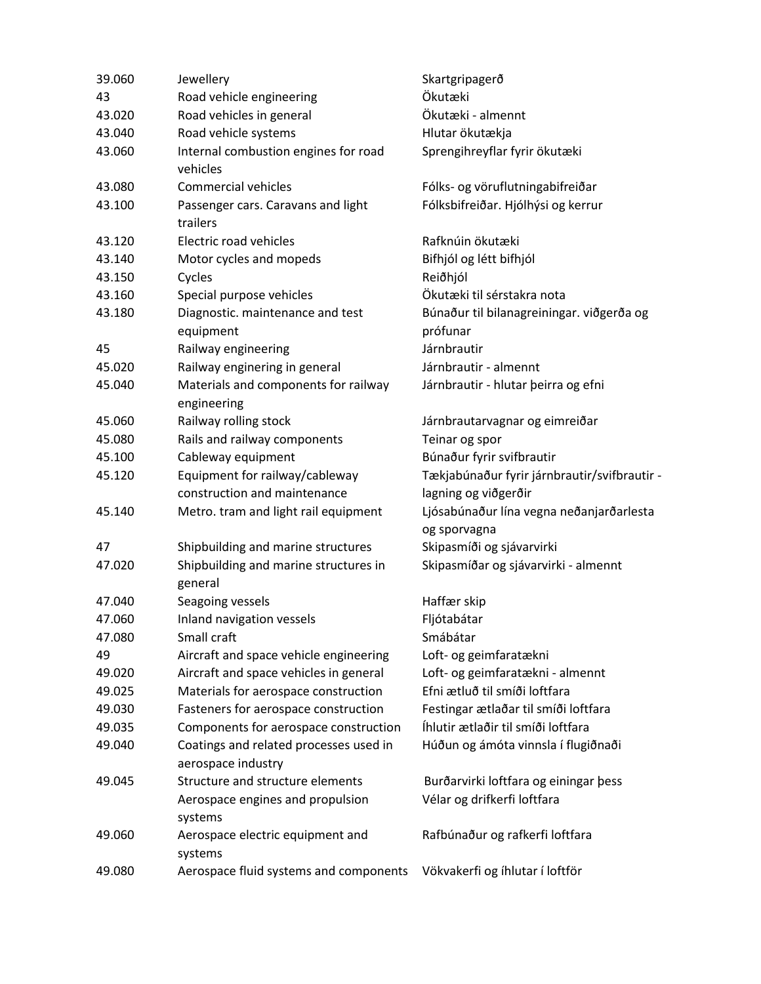| 39.060 | Jewellery                                                    | Skartgripagerð                                        |
|--------|--------------------------------------------------------------|-------------------------------------------------------|
| 43     | Road vehicle engineering                                     | Ökutæki                                               |
| 43.020 | Road vehicles in general                                     | Ökutæki - almennt                                     |
| 43.040 | Road vehicle systems                                         | Hlutar ökutækja                                       |
| 43.060 | Internal combustion engines for road                         | Sprengihreyflar fyrir ökutæki                         |
|        | vehicles                                                     |                                                       |
| 43.080 | <b>Commercial vehicles</b>                                   | Fólks- og vöruflutningabifreiðar                      |
| 43.100 | Passenger cars. Caravans and light<br>trailers               | Fólksbifreiðar. Hjólhýsi og kerrur                    |
| 43.120 | Electric road vehicles                                       | Rafknúin ökutæki                                      |
| 43.140 | Motor cycles and mopeds                                      | Bifhjól og létt bifhjól                               |
| 43.150 | Cycles                                                       | Reiðhjól                                              |
| 43.160 | Special purpose vehicles                                     | Ökutæki til sérstakra nota                            |
| 43.180 | Diagnostic. maintenance and test<br>equipment                | Búnaður til bilanagreiningar. viðgerða og<br>prófunar |
| 45     | Railway engineering                                          | Járnbrautir                                           |
| 45.020 | Railway enginering in general                                | Járnbrautir - almennt                                 |
| 45.040 | Materials and components for railway<br>engineering          | Járnbrautir - hlutar þeirra og efni                   |
| 45.060 | Railway rolling stock                                        | Járnbrautarvagnar og eimreiðar                        |
| 45.080 | Rails and railway components                                 | Teinar og spor                                        |
| 45.100 | Cableway equipment                                           | Búnaður fyrir svifbrautir                             |
| 45.120 | Equipment for railway/cableway                               | Tækjabúnaður fyrir járnbrautir/svifbrautir -          |
|        | construction and maintenance                                 | lagning og viðgerðir                                  |
| 45.140 | Metro. tram and light rail equipment                         | Ljósabúnaður lína vegna neðanjarðarlesta              |
|        |                                                              | og sporvagna                                          |
| 47     | Shipbuilding and marine structures                           | Skipasmíði og sjávarvirki                             |
| 47.020 | Shipbuilding and marine structures in<br>general             | Skipasmíðar og sjávarvirki - almennt                  |
| 47.040 | Seagoing vessels                                             | Haffær skip                                           |
| 47.060 | Inland navigation vessels                                    | Fljótabátar                                           |
| 47.080 | Small craft                                                  | Smábátar                                              |
| 49     | Aircraft and space vehicle engineering                       | Loft- og geimfaratækni                                |
| 49.020 | Aircraft and space vehicles in general                       | Loft- og geimfaratækni - almennt                      |
| 49.025 | Materials for aerospace construction                         | Efni ætluð til smíði loftfara                         |
| 49.030 | Fasteners for aerospace construction                         | Festingar ætlaðar til smíði loftfara                  |
| 49.035 | Components for aerospace construction                        | Íhlutir ætlaðir til smíði loftfara                    |
| 49.040 | Coatings and related processes used in<br>aerospace industry | Húðun og ámóta vinnsla í flugiðnaði                   |
| 49.045 | Structure and structure elements                             | Burðarvirki loftfara og einingar þess                 |
|        | Aerospace engines and propulsion<br>systems                  | Vélar og drifkerfi loftfara                           |
| 49.060 | Aerospace electric equipment and<br>systems                  | Rafbúnaður og rafkerfi loftfara                       |
| 49.080 | Aerospace fluid systems and components                       | Vökvakerfi og íhlutar í loftför                       |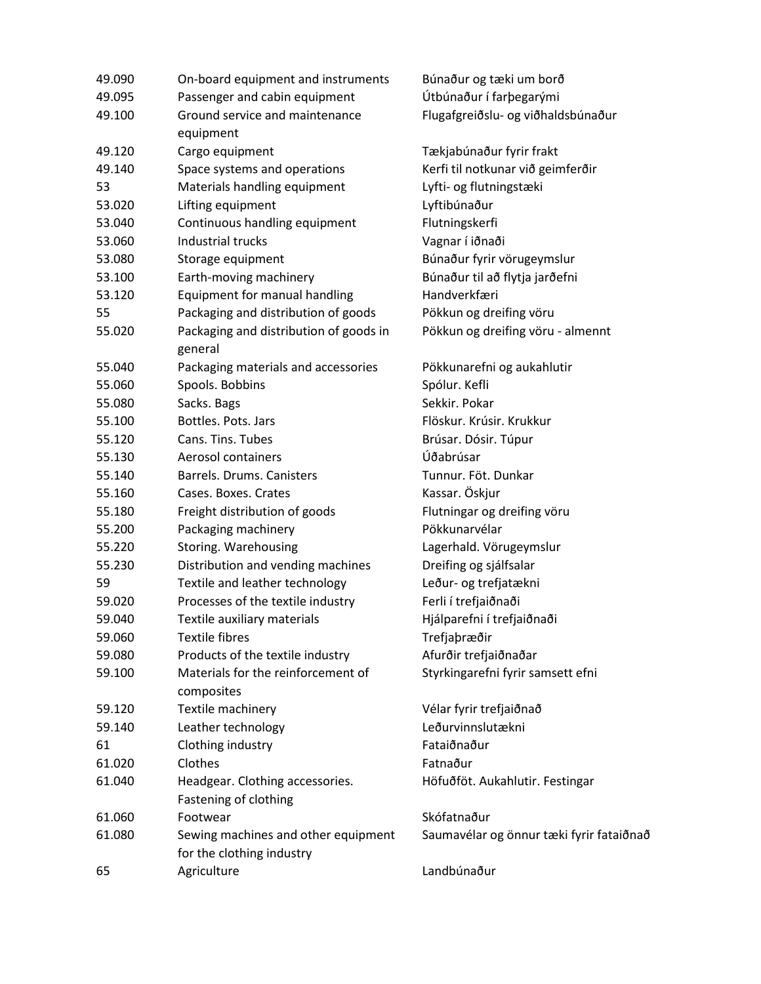| 49.090 | On-board equipment and instruments                               | Búnaður og tæki um borð                  |
|--------|------------------------------------------------------------------|------------------------------------------|
| 49.095 | Passenger and cabin equipment                                    | Útbúnaður í farþegarými                  |
| 49.100 | Ground service and maintenance<br>equipment                      | Flugafgreiðslu- og viðhaldsbúnaður       |
| 49.120 | Cargo equipment                                                  | Tækjabúnaður fyrir frakt                 |
| 49.140 | Space systems and operations                                     | Kerfi til notkunar við geimferðir        |
| 53     | Materials handling equipment                                     | Lyfti- og flutningstæki                  |
| 53.020 | Lifting equipment                                                | Lyftibúnaður                             |
| 53.040 | Continuous handling equipment                                    | Flutningskerfi                           |
| 53.060 | <b>Industrial trucks</b>                                         | Vagnar í iðnaði                          |
| 53.080 | Storage equipment                                                | Búnaður fyrir vörugeymslur               |
| 53.100 | Earth-moving machinery                                           | Búnaður til að flytja jarðefni           |
| 53.120 | Equipment for manual handling                                    | Handverkfæri                             |
| 55     | Packaging and distribution of goods                              | Pökkun og dreifing vöru                  |
| 55.020 | Packaging and distribution of goods in<br>general                | Pökkun og dreifing vöru - almennt        |
| 55.040 | Packaging materials and accessories                              | Pökkunarefni og aukahlutir               |
| 55.060 | Spools. Bobbins                                                  | Spólur. Kefli                            |
| 55.080 | Sacks. Bags                                                      | Sekkir. Pokar                            |
| 55.100 | Bottles. Pots. Jars                                              | Flöskur. Krúsir. Krukkur                 |
| 55.120 | Cans. Tins. Tubes                                                | Brúsar. Dósir. Túpur                     |
| 55.130 | Aerosol containers                                               | Úðabrúsar                                |
| 55.140 | Barrels. Drums. Canisters                                        | Tunnur. Föt. Dunkar                      |
| 55.160 | Cases. Boxes. Crates                                             | Kassar. Öskjur                           |
| 55.180 | Freight distribution of goods                                    | Flutningar og dreifing vöru              |
| 55.200 | Packaging machinery                                              | Pökkunarvélar                            |
| 55.220 | Storing. Warehousing                                             | Lagerhald. Vörugeymslur                  |
| 55.230 | Distribution and vending machines                                | Dreifing og sjálfsalar                   |
| 59     | Textile and leather technology                                   | Leður- og trefjatækni                    |
| 59.020 | Processes of the textile industry                                | Ferli í trefjaiðnaði                     |
| 59.040 | Textile auxiliary materials                                      | Hjálparefni í trefjaiðnaði               |
| 59.060 | <b>Textile fibres</b>                                            | Trefjaþræðir                             |
| 59.080 | Products of the textile industry                                 | Afurðir trefjaiðnaðar                    |
| 59.100 | Materials for the reinforcement of<br>composites                 | Styrkingarefni fyrir samsett efni        |
| 59.120 | Textile machinery                                                | Vélar fyrir trefjaiðnað                  |
| 59.140 | Leather technology                                               | Leðurvinnslutækni                        |
| 61     | Clothing industry                                                | Fataiðnaður                              |
| 61.020 | Clothes                                                          | Fatnaður                                 |
| 61.040 | Headgear. Clothing accessories.<br>Fastening of clothing         | Höfuðföt. Aukahlutir. Festingar          |
| 61.060 | Footwear                                                         | Skófatnaður                              |
| 61.080 | Sewing machines and other equipment<br>for the clothing industry | Saumavélar og önnur tæki fyrir fataiðnað |
| 65     | Agriculture                                                      | Landbúnaður                              |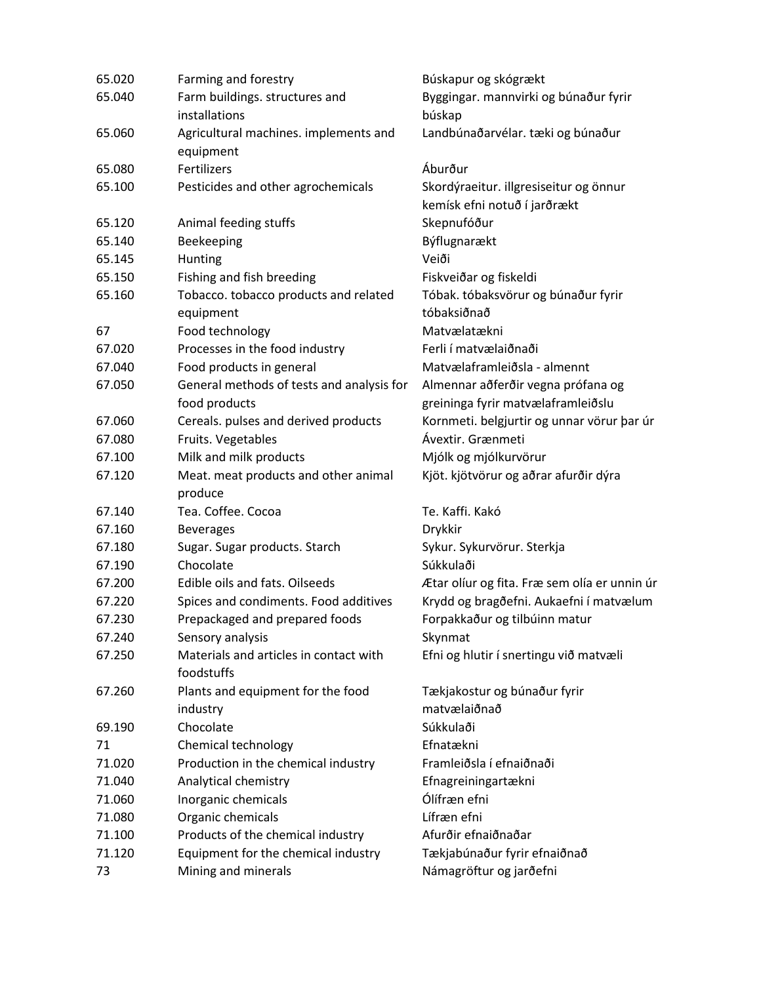| 65.020 | Farming and forestry                                 | Búskapur og skógrækt                         |
|--------|------------------------------------------------------|----------------------------------------------|
| 65.040 | Farm buildings. structures and                       | Byggingar. mannvirki og búnaður fyrir        |
|        | installations                                        | búskap                                       |
| 65.060 | Agricultural machines. implements and                | Landbúnaðarvélar. tæki og búnaður            |
|        | equipment                                            |                                              |
| 65.080 | Fertilizers                                          | Áburður                                      |
| 65.100 | Pesticides and other agrochemicals                   | Skordýraeitur. illgresiseitur og önnur       |
|        |                                                      | kemísk efni notuð í jarðrækt                 |
| 65.120 | Animal feeding stuffs                                | Skepnufóður                                  |
| 65.140 | Beekeeping                                           | Býflugnarækt                                 |
| 65.145 | Hunting                                              | Veiði                                        |
| 65.150 | Fishing and fish breeding                            | Fiskveiðar og fiskeldi                       |
| 65.160 | Tobacco. tobacco products and related                | Tóbak. tóbaksvörur og búnaður fyrir          |
|        | equipment                                            | tóbaksiðnað                                  |
| 67     | Food technology                                      | Matvælatækni                                 |
| 67.020 | Processes in the food industry                       | Ferli í matvælaiðnaði                        |
| 67.040 | Food products in general                             | Matvælaframleiðsla - almennt                 |
| 67.050 | General methods of tests and analysis for            | Almennar aðferðir vegna prófana og           |
|        | food products                                        | greininga fyrir matvælaframleiðslu           |
| 67.060 | Cereals. pulses and derived products                 | Kornmeti. belgjurtir og unnar vörur þar úr   |
| 67.080 | Fruits. Vegetables                                   | Ávextir. Grænmeti                            |
| 67.100 | Milk and milk products                               | Mjólk og mjólkurvörur                        |
| 67.120 | Meat. meat products and other animal                 | Kjöt. kjötvörur og aðrar afurðir dýra        |
|        | produce                                              |                                              |
| 67.140 | Tea. Coffee. Cocoa                                   | Te. Kaffi. Kakó                              |
| 67.160 | <b>Beverages</b>                                     | Drykkir                                      |
| 67.180 | Sugar. Sugar products. Starch                        | Sykur. Sykurvörur. Sterkja                   |
| 67.190 | Chocolate                                            | Súkkulaði                                    |
| 67.200 | Edible oils and fats. Oilseeds                       | Ætar olíur og fita. Fræ sem olía er unnin úr |
| 67.220 | Spices and condiments. Food additives                | Krydd og bragðefni. Aukaefni í matvælum      |
| 67.230 | Prepackaged and prepared foods                       | Forpakkaður og tilbúinn matur                |
| 67.240 | Sensory analysis                                     | Skynmat                                      |
| 67.250 | Materials and articles in contact with<br>foodstuffs | Efni og hlutir í snertingu við matvæli       |
| 67.260 | Plants and equipment for the food                    | Tækjakostur og búnaður fyrir                 |
|        | industry                                             | matvælaiðnað                                 |
| 69.190 | Chocolate                                            | Súkkulaði                                    |
| 71     | Chemical technology                                  | Efnatækni                                    |
| 71.020 | Production in the chemical industry                  | Framleiðsla í efnaiðnaði                     |
| 71.040 | Analytical chemistry                                 | Efnagreiningartækni                          |
| 71.060 | Inorganic chemicals                                  | Ólífræn efni                                 |
| 71.080 | Organic chemicals                                    | Lífræn efni                                  |
| 71.100 | Products of the chemical industry                    | Afurðir efnaiðnaðar                          |
| 71.120 | Equipment for the chemical industry                  | Tækjabúnaður fyrir efnaiðnað                 |
| 73     | Mining and minerals                                  | Námagröftur og jarðefni                      |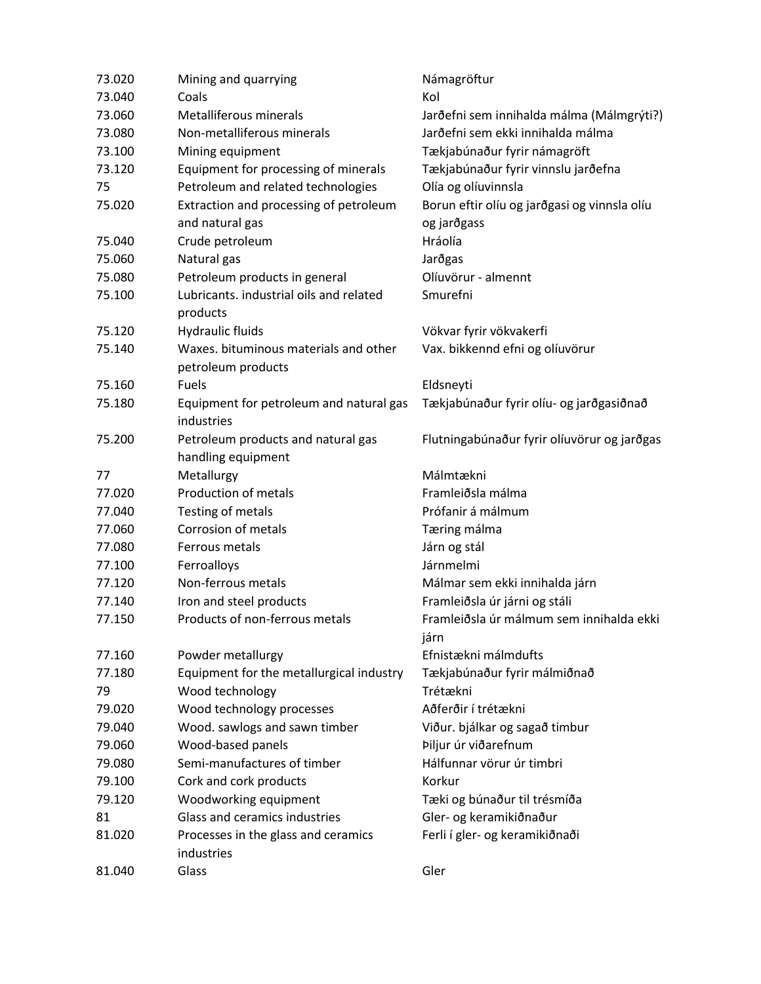| 73.020 | Mining and quarrying                                        | Námagröftur                                      |
|--------|-------------------------------------------------------------|--------------------------------------------------|
| 73.040 | Coals                                                       | Kol                                              |
| 73.060 | Metalliferous minerals                                      | Jarðefni sem innihalda málma (Málmgrýti?)        |
| 73.080 | Non-metalliferous minerals                                  | Jarðefni sem ekki innihalda málma                |
| 73.100 | Mining equipment                                            | Tækjabúnaður fyrir námagröft                     |
| 73.120 | Equipment for processing of minerals                        | Tækjabúnaður fyrir vinnslu jarðefna              |
| 75     | Petroleum and related technologies                          | Olía og olíuvinnsla                              |
| 75.020 | Extraction and processing of petroleum                      | Borun eftir olíu og jarðgasi og vinnsla olíu     |
|        | and natural gas                                             | og jarðgass                                      |
| 75.040 | Crude petroleum                                             | Hráolía                                          |
| 75.060 | Natural gas                                                 | Jarðgas                                          |
| 75.080 | Petroleum products in general                               | Olíuvörur - almennt                              |
| 75.100 | Lubricants. industrial oils and related<br>products         | Smurefni                                         |
| 75.120 | <b>Hydraulic fluids</b>                                     | Vökvar fyrir vökvakerfi                          |
| 75.140 | Waxes. bituminous materials and other<br>petroleum products | Vax. bikkennd efni og olíuvörur                  |
| 75.160 | Fuels                                                       | Eldsneyti                                        |
| 75.180 | Equipment for petroleum and natural gas<br>industries       | Tækjabúnaður fyrir olíu- og jarðgasiðnað         |
| 75.200 | Petroleum products and natural gas<br>handling equipment    | Flutningabúnaður fyrir olíuvörur og jarðgas      |
| 77     | Metallurgy                                                  | Málmtækni                                        |
| 77.020 | Production of metals                                        | Framleiðsla málma                                |
| 77.040 | Testing of metals                                           | Prófanir á málmum                                |
| 77.060 | Corrosion of metals                                         | Tæring málma                                     |
| 77.080 | Ferrous metals                                              | Járn og stál                                     |
| 77.100 | Ferroalloys                                                 | Járnmelmi                                        |
| 77.120 | Non-ferrous metals                                          | Málmar sem ekki innihalda járn                   |
| 77.140 | Iron and steel products                                     | Framleiðsla úr járni og stáli                    |
| 77.150 | Products of non-ferrous metals                              | Framleiðsla úr málmum sem innihalda ekki<br>járn |
| 77.160 | Powder metallurgy                                           | Efnistækni málmdufts                             |
| 77.180 | Equipment for the metallurgical industry                    | Tækjabúnaður fyrir málmiðnað                     |
| 79     | Wood technology                                             | Trétækni                                         |
| 79.020 | Wood technology processes                                   | Aðferðir í trétækni                              |
| 79.040 | Wood. sawlogs and sawn timber                               | Viður. bjálkar og sagað timbur                   |
| 79.060 | Wood-based panels                                           | Þiljur úr viðarefnum                             |
| 79.080 | Semi-manufactures of timber                                 | Hálfunnar vörur úr timbri                        |
| 79.100 | Cork and cork products                                      | Korkur                                           |
| 79.120 | Woodworking equipment                                       | Tæki og búnaður til trésmíða                     |
| 81     | Glass and ceramics industries                               | Gler- og keramikiðnaður                          |
| 81.020 | Processes in the glass and ceramics<br>industries           | Ferli í gler- og keramikiðnaði                   |
| 81.040 | Glass                                                       | Gler                                             |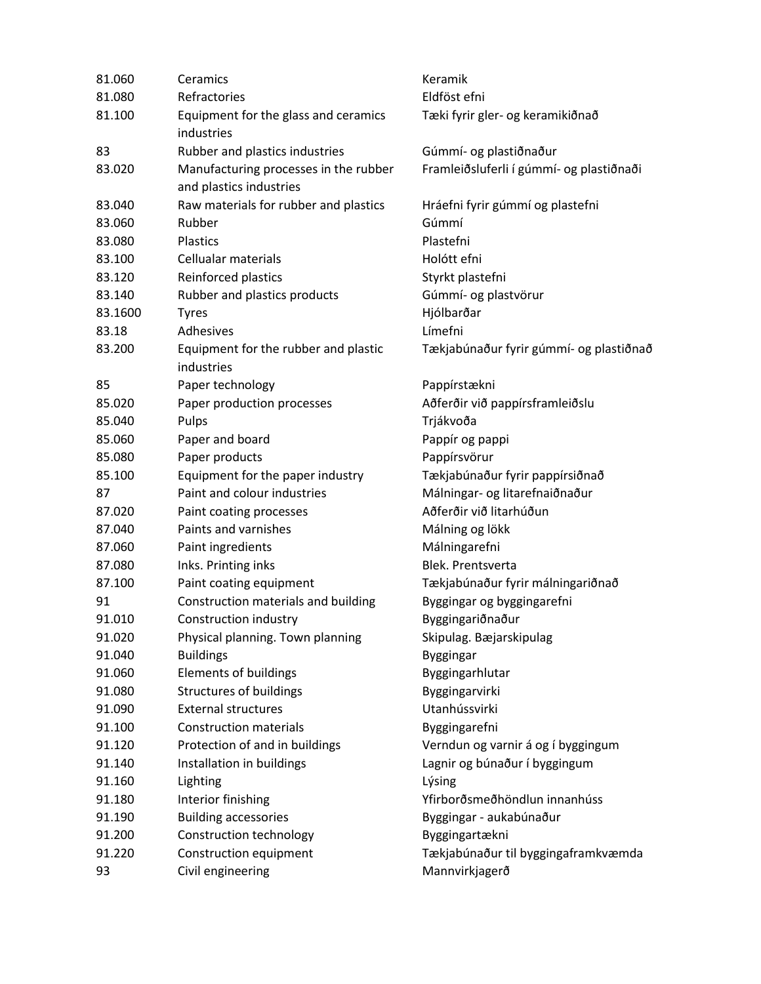| 81.060  | Ceramics                                           | Keramik                                  |
|---------|----------------------------------------------------|------------------------------------------|
| 81.080  | Refractories                                       | Eldföst efni                             |
| 81.100  | Equipment for the glass and ceramics<br>industries | Tæki fyrir gler- og keramikiðnað         |
| 83      | Rubber and plastics industries                     | Gúmmí- og plastiðnaður                   |
| 83.020  | Manufacturing processes in the rubber              | Framleiðsluferli í gúmmí- og plastiðnaði |
|         | and plastics industries                            |                                          |
| 83.040  | Raw materials for rubber and plastics              | Hráefni fyrir gúmmí og plastefni         |
| 83.060  | Rubber                                             | Gúmmí                                    |
| 83.080  | <b>Plastics</b>                                    | Plastefni                                |
| 83.100  | Cellualar materials                                | Holótt efni                              |
| 83.120  | Reinforced plastics                                | Styrkt plastefni                         |
| 83.140  | Rubber and plastics products                       | Gúmmí- og plastvörur                     |
| 83.1600 | <b>Tyres</b>                                       | Hjólbarðar                               |
| 83.18   | Adhesives                                          | Límefni                                  |
| 83.200  | Equipment for the rubber and plastic<br>industries | Tækjabúnaður fyrir gúmmí- og plastiðnað  |
| 85      | Paper technology                                   | Pappírstækni                             |
| 85.020  | Paper production processes                         | Aðferðir við pappírsframleiðslu          |
| 85.040  | Pulps                                              | Trjákvoða                                |
| 85.060  | Paper and board                                    | Pappír og pappi                          |
| 85.080  | Paper products                                     | Pappírsvörur                             |
| 85.100  | Equipment for the paper industry                   | Tækjabúnaður fyrir pappírsiðnað          |
| 87      | Paint and colour industries                        | Málningar- og litarefnaiðnaður           |
| 87.020  | Paint coating processes                            | Aðferðir við litarhúðun                  |
| 87.040  | Paints and varnishes                               | Málning og lökk                          |
| 87.060  | Paint ingredients                                  | Málningarefni                            |
| 87.080  | Inks. Printing inks                                | Blek. Prentsverta                        |
| 87.100  | Paint coating equipment                            | Tækjabúnaður fyrir málningariðnað        |
| 91      | Construction materials and building                | Byggingar og byggingarefni               |
| 91.010  | Construction industry                              | Byggingariðnaður                         |
| 91.020  | Physical planning. Town planning                   | Skipulag. Bæjarskipulag                  |
| 91.040  | <b>Buildings</b>                                   | <b>Byggingar</b>                         |
| 91.060  | <b>Elements of buildings</b>                       | Byggingarhlutar                          |
| 91.080  | <b>Structures of buildings</b>                     | Byggingarvirki                           |
| 91.090  | <b>External structures</b>                         | Utanhússvirki                            |
| 91.100  | <b>Construction materials</b>                      | Byggingarefni                            |
| 91.120  | Protection of and in buildings                     | Verndun og varnir á og í byggingum       |
| 91.140  | Installation in buildings                          | Lagnir og búnaður í byggingum            |
| 91.160  | Lighting                                           | Lýsing                                   |
| 91.180  | Interior finishing                                 | Yfirborðsmeðhöndlun innanhúss            |
| 91.190  | <b>Building accessories</b>                        | Byggingar - aukabúnaður                  |
| 91.200  | Construction technology                            | Byggingartækni                           |
| 91.220  | Construction equipment                             | Tækjabúnaður til byggingaframkvæmda      |
| 93      | Civil engineering                                  | Mannvirkjagerð                           |